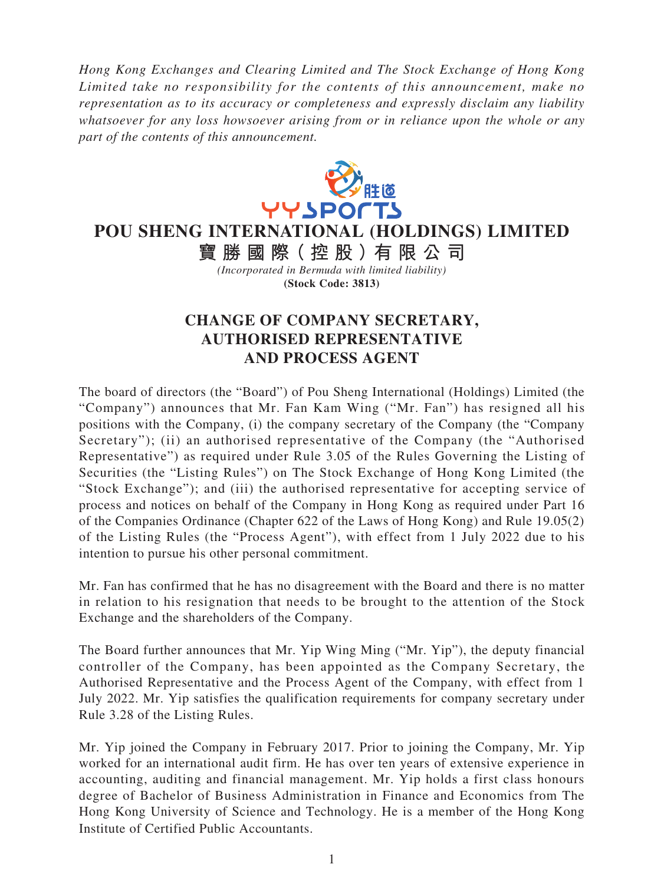*Hong Kong Exchanges and Clearing Limited and The Stock Exchange of Hong Kong Limited take no responsibility for the contents of this announcement, make no representation as to its accuracy or completeness and expressly disclaim any liability whatsoever for any loss howsoever arising from or in reliance upon the whole or any part of the contents of this announcement.*



**POU SHENG INTERNATIONAL (HOLDINGS) LIMITED**

**寶勝國際( 控 股 )有 限公司** *(Incorporated in Bermuda with limited liability)* **(Stock Code: 3813)**

## **CHANGE OF COMPANY SECRETARY, AUTHORISED REPRESENTATIVE AND PROCESS AGENT**

The board of directors (the "Board") of Pou Sheng International (Holdings) Limited (the "Company") announces that Mr. Fan Kam Wing ("Mr. Fan") has resigned all his positions with the Company, (i) the company secretary of the Company (the "Company Secretary"); (ii) an authorised representative of the Company (the "Authorised") Representative") as required under Rule 3.05 of the Rules Governing the Listing of Securities (the "Listing Rules") on The Stock Exchange of Hong Kong Limited (the "Stock Exchange"); and (iii) the authorised representative for accepting service of process and notices on behalf of the Company in Hong Kong as required under Part 16 of the Companies Ordinance (Chapter 622 of the Laws of Hong Kong) and Rule 19.05(2) of the Listing Rules (the "Process Agent"), with effect from 1 July 2022 due to his intention to pursue his other personal commitment.

Mr. Fan has confirmed that he has no disagreement with the Board and there is no matter in relation to his resignation that needs to be brought to the attention of the Stock Exchange and the shareholders of the Company.

The Board further announces that Mr. Yip Wing Ming ("Mr. Yip"), the deputy financial controller of the Company, has been appointed as the Company Secretary, the Authorised Representative and the Process Agent of the Company, with effect from 1 July 2022. Mr. Yip satisfies the qualification requirements for company secretary under Rule 3.28 of the Listing Rules.

Mr. Yip joined the Company in February 2017. Prior to joining the Company, Mr. Yip worked for an international audit firm. He has over ten years of extensive experience in accounting, auditing and financial management. Mr. Yip holds a first class honours degree of Bachelor of Business Administration in Finance and Economics from The Hong Kong University of Science and Technology. He is a member of the Hong Kong Institute of Certified Public Accountants.